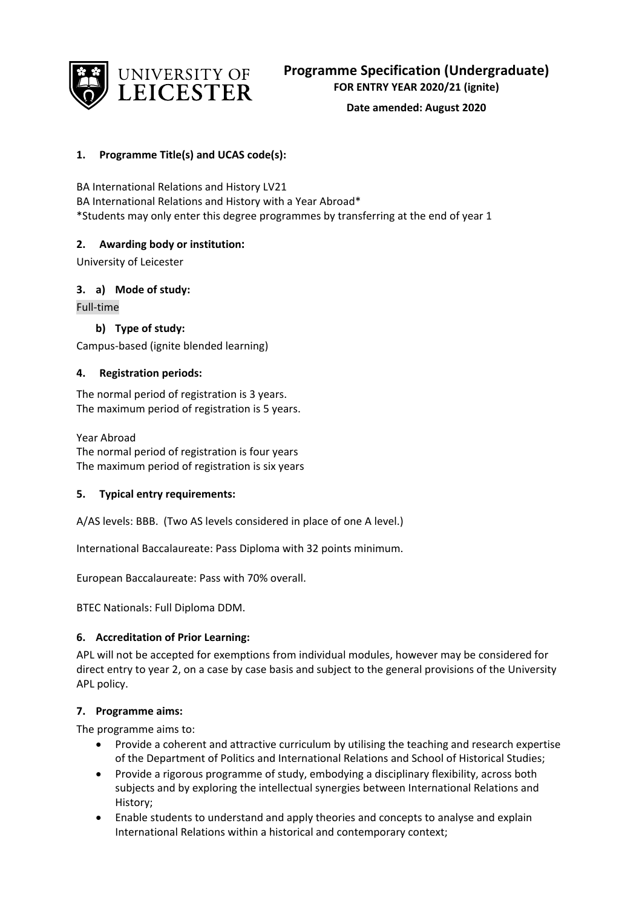

**Date amended: August 2020**

## **1. Programme Title(s) and UCAS code(s):**

BA International Relations and History LV21 BA International Relations and History with a Year Abroad\* \*Students may only enter this degree programmes by transferring at the end of year 1

## **2. Awarding body or institution:**

University of Leicester

## **3. a) Mode of study:**

Full-time

## **b) Type of study:**

Campus-based (ignite blended learning)

## **4. Registration periods:**

The normal period of registration is 3 years. The maximum period of registration is 5 years.

Year Abroad The normal period of registration is four years The maximum period of registration is six years

## **5. Typical entry requirements:**

A/AS levels: BBB. (Two AS levels considered in place of one A level.)

International Baccalaureate: Pass Diploma with 32 points minimum.

European Baccalaureate: Pass with 70% overall.

BTEC Nationals: Full Diploma DDM.

## **6. Accreditation of Prior Learning:**

APL will not be accepted for exemptions from individual modules, however may be considered for direct entry to year 2, on a case by case basis and subject to the general provisions of the University APL policy.

## **7. Programme aims:**

The programme aims to:

- Provide a coherent and attractive curriculum by utilising the teaching and research expertise of the Department of Politics and International Relations and School of Historical Studies;
- Provide a rigorous programme of study, embodying a disciplinary flexibility, across both subjects and by exploring the intellectual synergies between International Relations and History;
- Enable students to understand and apply theories and concepts to analyse and explain International Relations within a historical and contemporary context;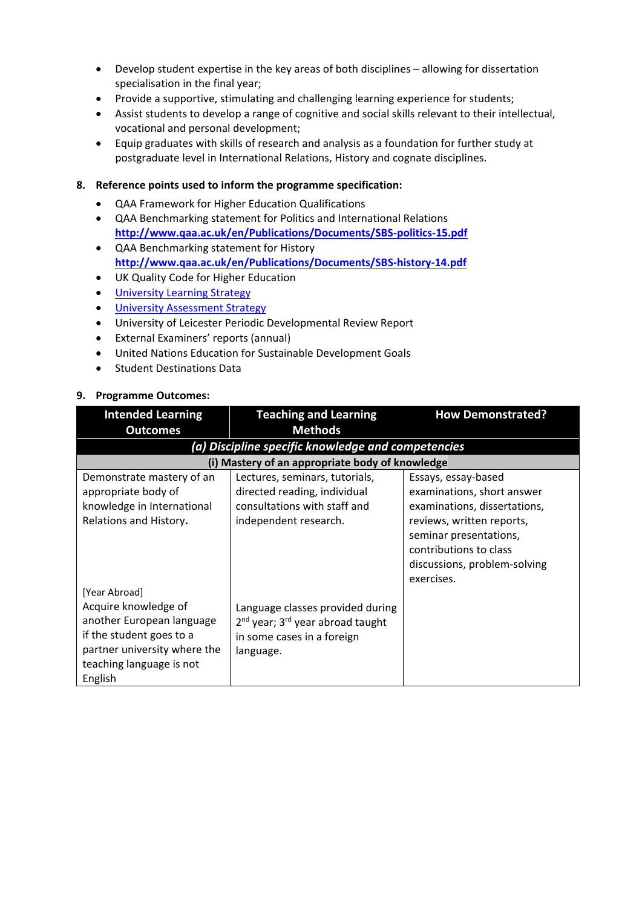- Develop student expertise in the key areas of both disciplines allowing for dissertation specialisation in the final year;
- Provide a supportive, stimulating and challenging learning experience for students;
- Assist students to develop a range of cognitive and social skills relevant to their intellectual, vocational and personal development;
- Equip graduates with skills of research and analysis as a foundation for further study at postgraduate level in International Relations, History and cognate disciplines.

### **8. Reference points used to inform the programme specification:**

- QAA Framework for Higher Education Qualifications
- QAA Benchmarking statement for Politics and International Relations **<http://www.qaa.ac.uk/en/Publications/Documents/SBS-politics-15.pdf>**
- QAA Benchmarking statement for History **<http://www.qaa.ac.uk/en/Publications/Documents/SBS-history-14.pdf>**
- UK Quality Code for Higher Education
- University Learning [Strategy](https://www2.le.ac.uk/offices/sas2/quality/learnteach)
- [University Assessment Strategy](https://www2.le.ac.uk/offices/sas2/quality/learnteach)
- University of Leicester Periodic Developmental Review Report
- External Examiners' reports (annual)
- United Nations Education for Sustainable Development Goals
- Student Destinations Data

#### **9. Programme Outcomes:**

| <b>Intended Learning</b>                                                                                                                             | <b>Teaching and Learning</b>                                                                                                            | <b>How Demonstrated?</b>                                                                                                                                                                                         |
|------------------------------------------------------------------------------------------------------------------------------------------------------|-----------------------------------------------------------------------------------------------------------------------------------------|------------------------------------------------------------------------------------------------------------------------------------------------------------------------------------------------------------------|
| <b>Outcomes</b>                                                                                                                                      | <b>Methods</b>                                                                                                                          |                                                                                                                                                                                                                  |
|                                                                                                                                                      | (a) Discipline specific knowledge and competencies                                                                                      |                                                                                                                                                                                                                  |
|                                                                                                                                                      | (i) Mastery of an appropriate body of knowledge                                                                                         |                                                                                                                                                                                                                  |
| Demonstrate mastery of an<br>appropriate body of<br>knowledge in International<br>Relations and History.<br>[Year Abroad]                            | Lectures, seminars, tutorials,<br>directed reading, individual<br>consultations with staff and<br>independent research.                 | Essays, essay-based<br>examinations, short answer<br>examinations, dissertations,<br>reviews, written reports,<br>seminar presentations,<br>contributions to class<br>discussions, problem-solving<br>exercises. |
| Acquire knowledge of<br>another European language<br>if the student goes to a<br>partner university where the<br>teaching language is not<br>English | Language classes provided during<br>2 <sup>nd</sup> year; 3 <sup>rd</sup> year abroad taught<br>in some cases in a foreign<br>language. |                                                                                                                                                                                                                  |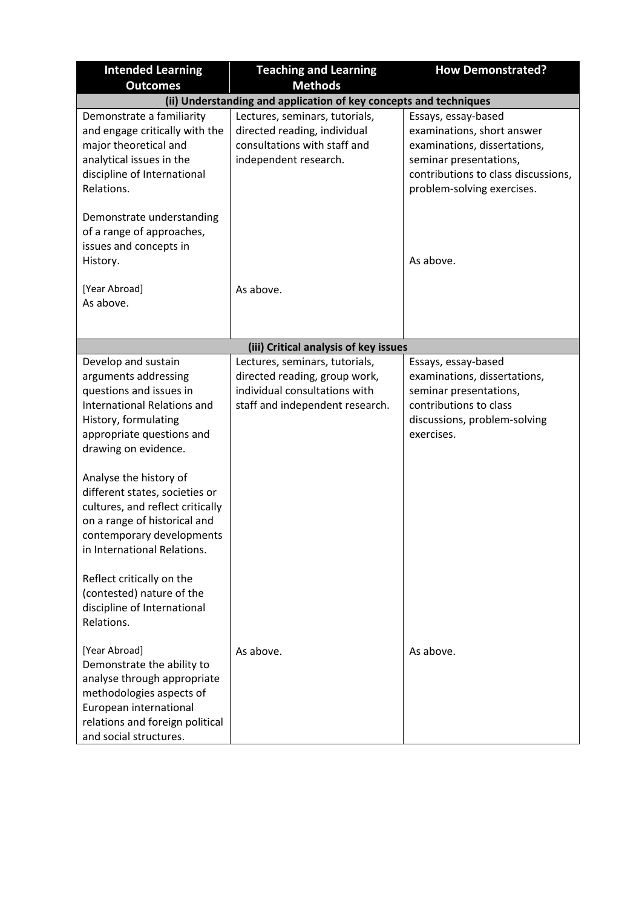| <b>Intended Learning</b><br><b>Outcomes</b>                                                                                                                                                                                                                                                                                                                                                                                                                                                  | <b>Teaching and Learning</b><br><b>Methods</b>                                                                                      | <b>How Demonstrated?</b>                                                                                                                                                         |  |
|----------------------------------------------------------------------------------------------------------------------------------------------------------------------------------------------------------------------------------------------------------------------------------------------------------------------------------------------------------------------------------------------------------------------------------------------------------------------------------------------|-------------------------------------------------------------------------------------------------------------------------------------|----------------------------------------------------------------------------------------------------------------------------------------------------------------------------------|--|
| (ii) Understanding and application of key concepts and techniques                                                                                                                                                                                                                                                                                                                                                                                                                            |                                                                                                                                     |                                                                                                                                                                                  |  |
| Demonstrate a familiarity<br>and engage critically with the<br>major theoretical and<br>analytical issues in the<br>discipline of International<br>Relations.                                                                                                                                                                                                                                                                                                                                | Lectures, seminars, tutorials,<br>directed reading, individual<br>consultations with staff and<br>independent research.             | Essays, essay-based<br>examinations, short answer<br>examinations, dissertations,<br>seminar presentations,<br>contributions to class discussions,<br>problem-solving exercises. |  |
| Demonstrate understanding<br>of a range of approaches,<br>issues and concepts in<br>History.                                                                                                                                                                                                                                                                                                                                                                                                 |                                                                                                                                     | As above.                                                                                                                                                                        |  |
| [Year Abroad]<br>As above.                                                                                                                                                                                                                                                                                                                                                                                                                                                                   | As above.                                                                                                                           |                                                                                                                                                                                  |  |
|                                                                                                                                                                                                                                                                                                                                                                                                                                                                                              | (iii) Critical analysis of key issues                                                                                               |                                                                                                                                                                                  |  |
| Develop and sustain<br>arguments addressing<br>questions and issues in<br><b>International Relations and</b><br>History, formulating<br>appropriate questions and<br>drawing on evidence.<br>Analyse the history of<br>different states, societies or<br>cultures, and reflect critically<br>on a range of historical and<br>contemporary developments<br>in International Relations.<br>Reflect critically on the<br>(contested) nature of the<br>discipline of International<br>Relations. | Lectures, seminars, tutorials,<br>directed reading, group work,<br>individual consultations with<br>staff and independent research. | Essays, essay-based<br>examinations, dissertations,<br>seminar presentations,<br>contributions to class<br>discussions, problem-solving<br>exercises.                            |  |
| [Year Abroad]<br>Demonstrate the ability to<br>analyse through appropriate<br>methodologies aspects of<br>European international<br>relations and foreign political<br>and social structures.                                                                                                                                                                                                                                                                                                | As above.                                                                                                                           | As above.                                                                                                                                                                        |  |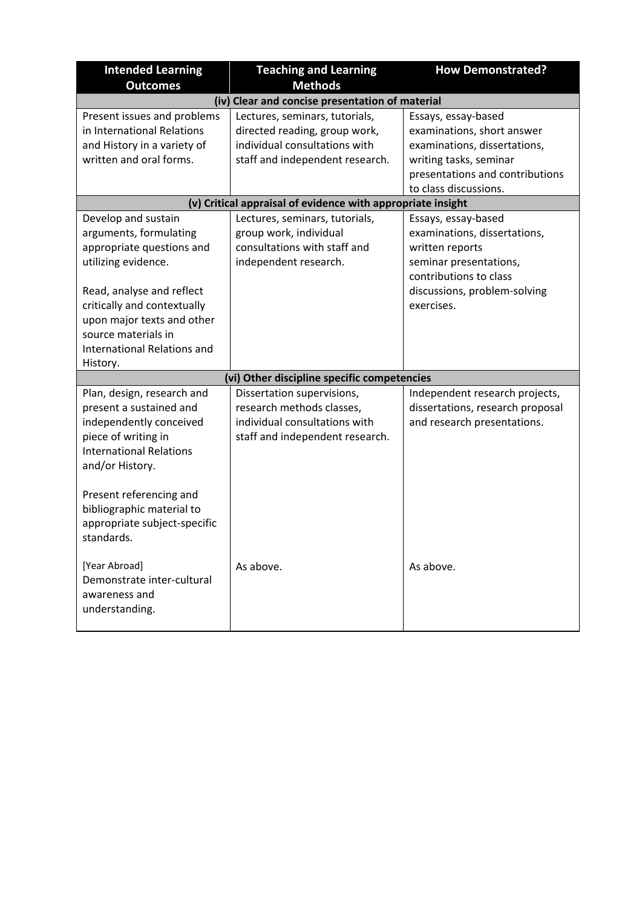| <b>Intended Learning</b><br><b>Outcomes</b>                                                                                                                                                                                                                          | <b>Teaching and Learning</b><br><b>Methods</b>                                                                                      | <b>How Demonstrated?</b>                                                                                                                                                 |  |
|----------------------------------------------------------------------------------------------------------------------------------------------------------------------------------------------------------------------------------------------------------------------|-------------------------------------------------------------------------------------------------------------------------------------|--------------------------------------------------------------------------------------------------------------------------------------------------------------------------|--|
| (iv) Clear and concise presentation of material                                                                                                                                                                                                                      |                                                                                                                                     |                                                                                                                                                                          |  |
| Present issues and problems<br>in International Relations<br>and History in a variety of<br>written and oral forms.                                                                                                                                                  | Lectures, seminars, tutorials,<br>directed reading, group work,<br>individual consultations with<br>staff and independent research. | Essays, essay-based<br>examinations, short answer<br>examinations, dissertations,<br>writing tasks, seminar<br>presentations and contributions<br>to class discussions.  |  |
|                                                                                                                                                                                                                                                                      | (v) Critical appraisal of evidence with appropriate insight                                                                         |                                                                                                                                                                          |  |
| Develop and sustain<br>arguments, formulating<br>appropriate questions and<br>utilizing evidence.<br>Read, analyse and reflect<br>critically and contextually<br>upon major texts and other<br>source materials in<br><b>International Relations and</b><br>History. | Lectures, seminars, tutorials,<br>group work, individual<br>consultations with staff and<br>independent research.                   | Essays, essay-based<br>examinations, dissertations,<br>written reports<br>seminar presentations,<br>contributions to class<br>discussions, problem-solving<br>exercises. |  |
|                                                                                                                                                                                                                                                                      | (vi) Other discipline specific competencies                                                                                         |                                                                                                                                                                          |  |
| Plan, design, research and<br>present a sustained and<br>independently conceived<br>piece of writing in<br><b>International Relations</b><br>and/or History.                                                                                                         | Dissertation supervisions,<br>research methods classes,<br>individual consultations with<br>staff and independent research.         | Independent research projects,<br>dissertations, research proposal<br>and research presentations.                                                                        |  |
| Present referencing and<br>bibliographic material to<br>appropriate subject-specific<br>standards.                                                                                                                                                                   |                                                                                                                                     |                                                                                                                                                                          |  |
| [Year Abroad]<br>Demonstrate inter-cultural<br>awareness and<br>understanding.                                                                                                                                                                                       | As above.                                                                                                                           | As above.                                                                                                                                                                |  |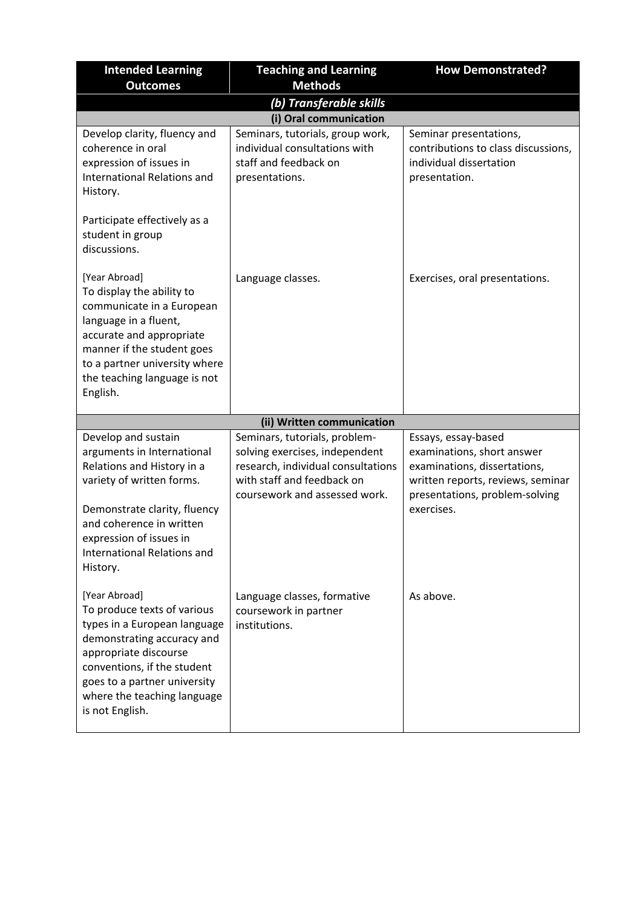| <b>Intended Learning</b><br><b>Outcomes</b>                                                                                                                                                                                                          | <b>Teaching and Learning</b><br><b>Methods</b>                                                                                                                       | <b>How Demonstrated?</b>                                                                                                                                               |
|------------------------------------------------------------------------------------------------------------------------------------------------------------------------------------------------------------------------------------------------------|----------------------------------------------------------------------------------------------------------------------------------------------------------------------|------------------------------------------------------------------------------------------------------------------------------------------------------------------------|
|                                                                                                                                                                                                                                                      | (b) Transferable skills                                                                                                                                              |                                                                                                                                                                        |
|                                                                                                                                                                                                                                                      | (i) Oral communication                                                                                                                                               |                                                                                                                                                                        |
| Develop clarity, fluency and<br>coherence in oral<br>expression of issues in<br><b>International Relations and</b><br>History.                                                                                                                       | Seminars, tutorials, group work,<br>individual consultations with<br>staff and feedback on<br>presentations.                                                         | Seminar presentations,<br>contributions to class discussions,<br>individual dissertation<br>presentation.                                                              |
| Participate effectively as a<br>student in group<br>discussions.                                                                                                                                                                                     |                                                                                                                                                                      |                                                                                                                                                                        |
| [Year Abroad]<br>To display the ability to<br>communicate in a European<br>language in a fluent,<br>accurate and appropriate<br>manner if the student goes<br>to a partner university where<br>the teaching language is not<br>English.              | Language classes.                                                                                                                                                    | Exercises, oral presentations.                                                                                                                                         |
|                                                                                                                                                                                                                                                      | (ii) Written communication                                                                                                                                           |                                                                                                                                                                        |
| Develop and sustain<br>arguments in International<br>Relations and History in a<br>variety of written forms.<br>Demonstrate clarity, fluency<br>and coherence in written<br>expression of issues in<br>International Relations and<br>History.       | Seminars, tutorials, problem-<br>solving exercises, independent<br>research, individual consultations<br>with staff and feedback on<br>coursework and assessed work. | Essays, essay-based<br>examinations, short answer<br>examinations, dissertations,<br>written reports, reviews, seminar<br>presentations, problem-solving<br>exercises. |
| [Year Abroad]<br>To produce texts of various<br>types in a European language<br>demonstrating accuracy and<br>appropriate discourse<br>conventions, if the student<br>goes to a partner university<br>where the teaching language<br>is not English. | Language classes, formative<br>coursework in partner<br>institutions.                                                                                                | As above.                                                                                                                                                              |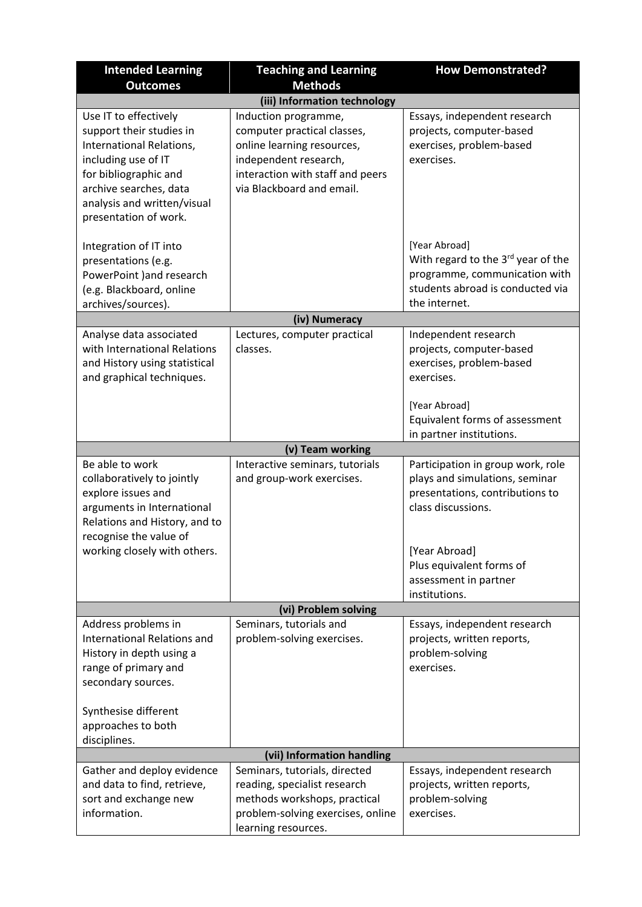| <b>Intended Learning</b>                                                                                                                                                                                        | <b>Teaching and Learning</b>                                                                                                                                                | <b>How Demonstrated?</b>                                                                                                                                                  |
|-----------------------------------------------------------------------------------------------------------------------------------------------------------------------------------------------------------------|-----------------------------------------------------------------------------------------------------------------------------------------------------------------------------|---------------------------------------------------------------------------------------------------------------------------------------------------------------------------|
| <b>Outcomes</b>                                                                                                                                                                                                 | <b>Methods</b>                                                                                                                                                              |                                                                                                                                                                           |
|                                                                                                                                                                                                                 | (iii) Information technology                                                                                                                                                |                                                                                                                                                                           |
| Use IT to effectively<br>support their studies in<br>International Relations,<br>including use of IT<br>for bibliographic and<br>archive searches, data<br>analysis and written/visual<br>presentation of work. | Induction programme,<br>computer practical classes,<br>online learning resources,<br>independent research,<br>interaction with staff and peers<br>via Blackboard and email. | Essays, independent research<br>projects, computer-based<br>exercises, problem-based<br>exercises.                                                                        |
| Integration of IT into<br>presentations (e.g.<br>PowerPoint ) and research<br>(e.g. Blackboard, online<br>archives/sources).                                                                                    |                                                                                                                                                                             | [Year Abroad]<br>With regard to the 3rd year of the<br>programme, communication with<br>students abroad is conducted via<br>the internet.                                 |
|                                                                                                                                                                                                                 | (iv) Numeracy                                                                                                                                                               |                                                                                                                                                                           |
| Analyse data associated<br>with International Relations<br>and History using statistical<br>and graphical techniques.                                                                                           | Lectures, computer practical<br>classes.                                                                                                                                    | Independent research<br>projects, computer-based<br>exercises, problem-based<br>exercises.<br>[Year Abroad]<br>Equivalent forms of assessment                             |
|                                                                                                                                                                                                                 |                                                                                                                                                                             | in partner institutions.                                                                                                                                                  |
|                                                                                                                                                                                                                 | (v) Team working                                                                                                                                                            |                                                                                                                                                                           |
| Be able to work<br>collaboratively to jointly<br>explore issues and<br>arguments in International<br>Relations and History, and to<br>recognise the value of<br>working closely with others.                    | Interactive seminars, tutorials<br>and group-work exercises.                                                                                                                | Participation in group work, role<br>plays and simulations, seminar<br>presentations, contributions to<br>class discussions.<br>[Year Abroad]<br>Plus equivalent forms of |
|                                                                                                                                                                                                                 |                                                                                                                                                                             | assessment in partner                                                                                                                                                     |
|                                                                                                                                                                                                                 |                                                                                                                                                                             | institutions.                                                                                                                                                             |
|                                                                                                                                                                                                                 | (vi) Problem solving                                                                                                                                                        |                                                                                                                                                                           |
| Address problems in<br>International Relations and<br>History in depth using a<br>range of primary and<br>secondary sources.                                                                                    | Seminars, tutorials and<br>problem-solving exercises.                                                                                                                       | Essays, independent research<br>projects, written reports,<br>problem-solving<br>exercises.                                                                               |
| Synthesise different<br>approaches to both<br>disciplines.                                                                                                                                                      |                                                                                                                                                                             |                                                                                                                                                                           |
|                                                                                                                                                                                                                 | (vii) Information handling                                                                                                                                                  |                                                                                                                                                                           |
| Gather and deploy evidence<br>and data to find, retrieve,<br>sort and exchange new<br>information.                                                                                                              | Seminars, tutorials, directed<br>reading, specialist research<br>methods workshops, practical<br>problem-solving exercises, online<br>learning resources.                   | Essays, independent research<br>projects, written reports,<br>problem-solving<br>exercises.                                                                               |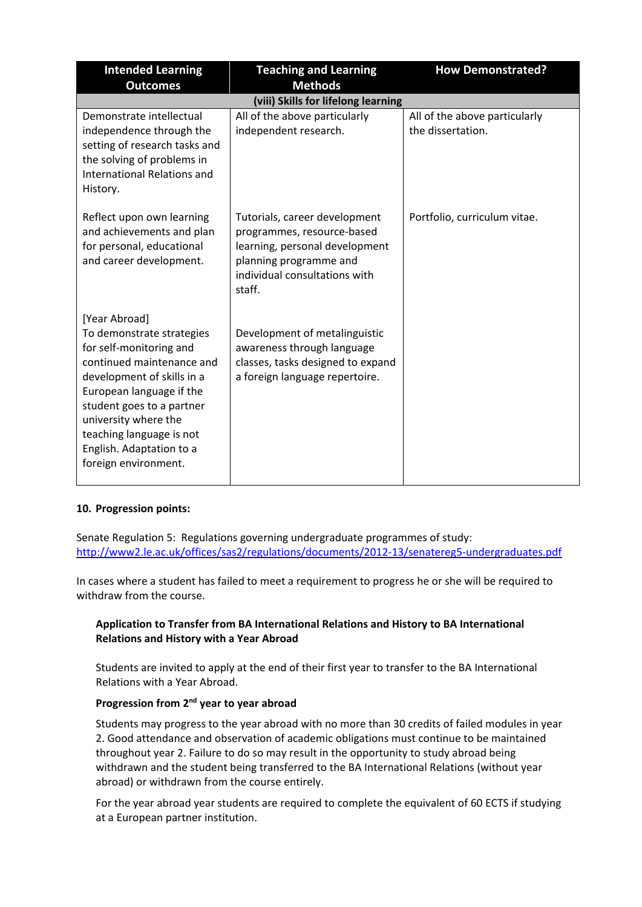| <b>Intended Learning</b>                                                                                                                                                                                                                                                                          | <b>Teaching and Learning</b>                                                                                                                                       | <b>How Demonstrated?</b>                           |
|---------------------------------------------------------------------------------------------------------------------------------------------------------------------------------------------------------------------------------------------------------------------------------------------------|--------------------------------------------------------------------------------------------------------------------------------------------------------------------|----------------------------------------------------|
| <b>Outcomes</b>                                                                                                                                                                                                                                                                                   | <b>Methods</b>                                                                                                                                                     |                                                    |
|                                                                                                                                                                                                                                                                                                   | (viii) Skills for lifelong learning                                                                                                                                |                                                    |
| Demonstrate intellectual<br>independence through the<br>setting of research tasks and<br>the solving of problems in<br><b>International Relations and</b><br>History.                                                                                                                             | All of the above particularly<br>independent research.                                                                                                             | All of the above particularly<br>the dissertation. |
| Reflect upon own learning<br>and achievements and plan<br>for personal, educational<br>and career development.                                                                                                                                                                                    | Tutorials, career development<br>programmes, resource-based<br>learning, personal development<br>planning programme and<br>individual consultations with<br>staff. | Portfolio, curriculum vitae.                       |
| [Year Abroad]<br>To demonstrate strategies<br>for self-monitoring and<br>continued maintenance and<br>development of skills in a<br>European language if the<br>student goes to a partner<br>university where the<br>teaching language is not<br>English. Adaptation to a<br>foreign environment. | Development of metalinguistic<br>awareness through language<br>classes, tasks designed to expand<br>a foreign language repertoire.                                 |                                                    |

## **10. Progression points:**

Senate Regulation 5: Regulations governing undergraduate programmes of study: <http://www2.le.ac.uk/offices/sas2/regulations/documents/2012-13/senatereg5-undergraduates.pdf>

In cases where a student has failed to meet a requirement to progress he or she will be required to withdraw from the course.

## **Application to Transfer from BA International Relations and History to BA International Relations and History with a Year Abroad**

Students are invited to apply at the end of their first year to transfer to the BA International Relations with a Year Abroad.

## **Progression from 2nd year to year abroad**

Students may progress to the year abroad with no more than 30 credits of failed modules in year 2. Good attendance and observation of academic obligations must continue to be maintained throughout year 2. Failure to do so may result in the opportunity to study abroad being withdrawn and the student being transferred to the BA International Relations (without year abroad) or withdrawn from the course entirely.

For the year abroad year students are required to complete the equivalent of 60 ECTS if studying at a European partner institution.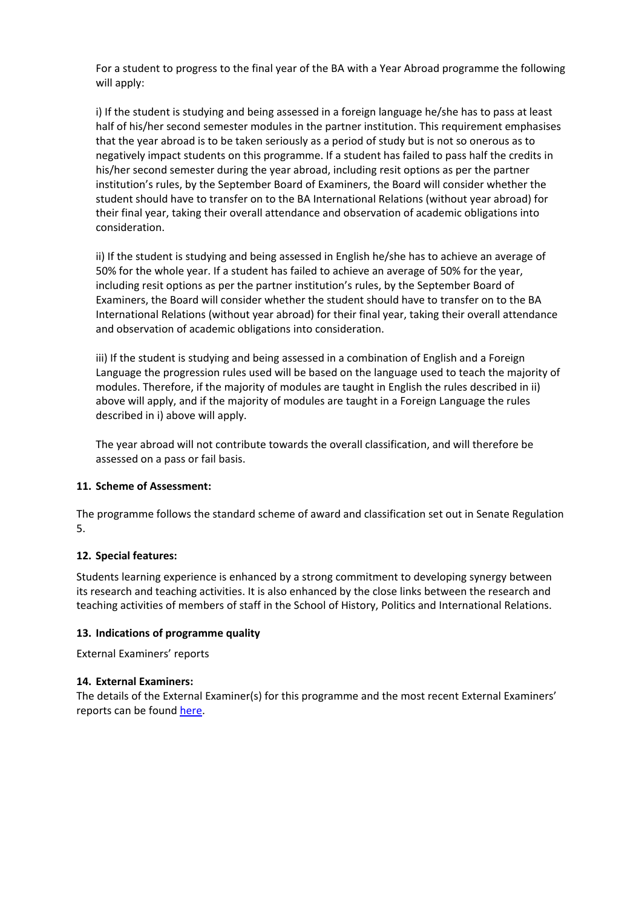For a student to progress to the final year of the BA with a Year Abroad programme the following will apply:

i) If the student is studying and being assessed in a foreign language he/she has to pass at least half of his/her second semester modules in the partner institution. This requirement emphasises that the year abroad is to be taken seriously as a period of study but is not so onerous as to negatively impact students on this programme. If a student has failed to pass half the credits in his/her second semester during the year abroad, including resit options as per the partner institution's rules, by the September Board of Examiners, the Board will consider whether the student should have to transfer on to the BA International Relations (without year abroad) for their final year, taking their overall attendance and observation of academic obligations into consideration.

ii) If the student is studying and being assessed in English he/she has to achieve an average of 50% for the whole year. If a student has failed to achieve an average of 50% for the year, including resit options as per the partner institution's rules, by the September Board of Examiners, the Board will consider whether the student should have to transfer on to the BA International Relations (without year abroad) for their final year, taking their overall attendance and observation of academic obligations into consideration.

iii) If the student is studying and being assessed in a combination of English and a Foreign Language the progression rules used will be based on the language used to teach the majority of modules. Therefore, if the majority of modules are taught in English the rules described in ii) above will apply, and if the majority of modules are taught in a Foreign Language the rules described in i) above will apply.

The year abroad will not contribute towards the overall classification, and will therefore be assessed on a pass or fail basis.

#### **11. Scheme of Assessment:**

The programme follows the standard scheme of award and classification set out in Senate Regulation 5.

#### **12. Special features:**

Students learning experience is enhanced by a strong commitment to developing synergy between its research and teaching activities. It is also enhanced by the close links between the research and teaching activities of members of staff in the School of History, Politics and International Relations.

#### **13. Indications of programme quality**

External Examiners' reports

#### **14. External Examiners:**

The details of the External Examiner(s) for this programme and the most recent External Examiners' reports can be found [here.](https://exampapers.le.ac.uk/xmlui/handle/123456789/227)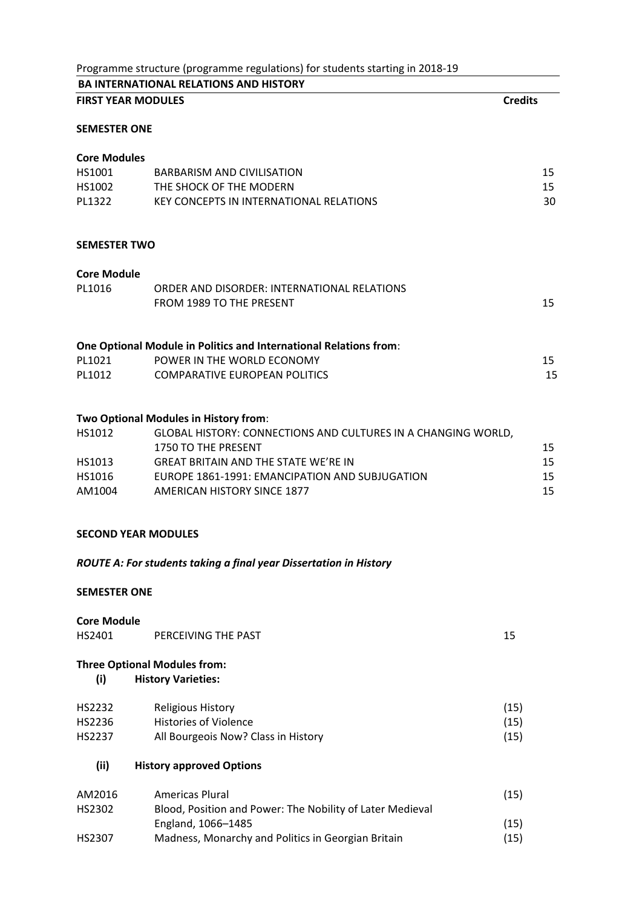|                            | Programme structure (programme regulations) for students starting in 2018-19         |                |    |
|----------------------------|--------------------------------------------------------------------------------------|----------------|----|
|                            | <b>BA INTERNATIONAL RELATIONS AND HISTORY</b>                                        |                |    |
| <b>FIRST YEAR MODULES</b>  |                                                                                      | <b>Credits</b> |    |
| <b>SEMESTER ONE</b>        |                                                                                      |                |    |
| <b>Core Modules</b>        |                                                                                      |                |    |
| HS1001                     | <b>BARBARISM AND CIVILISATION</b>                                                    |                | 15 |
| HS1002                     | THE SHOCK OF THE MODERN                                                              |                | 15 |
| PL1322                     | KEY CONCEPTS IN INTERNATIONAL RELATIONS                                              |                | 30 |
| <b>SEMESTER TWO</b>        |                                                                                      |                |    |
| <b>Core Module</b>         |                                                                                      |                |    |
| PL1016                     | ORDER AND DISORDER: INTERNATIONAL RELATIONS                                          |                |    |
|                            | FROM 1989 TO THE PRESENT                                                             |                | 15 |
|                            | One Optional Module in Politics and International Relations from:                    |                |    |
| PL1021                     | POWER IN THE WORLD ECONOMY                                                           |                | 15 |
| PL1012                     | <b>COMPARATIVE EUROPEAN POLITICS</b>                                                 |                | 15 |
|                            | Two Optional Modules in History from:                                                |                |    |
| HS1012                     | GLOBAL HISTORY: CONNECTIONS AND CULTURES IN A CHANGING WORLD,<br>1750 TO THE PRESENT |                | 15 |
| HS1013                     | <b>GREAT BRITAIN AND THE STATE WE'RE IN</b>                                          |                | 15 |
| HS1016                     | EUROPE 1861-1991: EMANCIPATION AND SUBJUGATION                                       |                | 15 |
| AM1004                     | <b>AMERICAN HISTORY SINCE 1877</b>                                                   |                | 15 |
| <b>SECOND YEAR MODULES</b> |                                                                                      |                |    |
|                            | ROUTE A: For students taking a final year Dissertation in History                    |                |    |
| <b>SEMESTER ONE</b>        |                                                                                      |                |    |
| <b>Core Module</b>         |                                                                                      |                |    |
| HS2401                     | PERCEIVING THE PAST                                                                  | 15             |    |

# **Three Optional Modules from:**

| (i) | <b>History Varieties:</b> |
|-----|---------------------------|
|-----|---------------------------|

| HS2232 | Religious History                   | (15) |
|--------|-------------------------------------|------|
| HS2236 | Histories of Violence               | (15) |
| HS2237 | All Bourgeois Now? Class in History | (15) |

| (ii) | <b>History approved Options</b> |
|------|---------------------------------|
|------|---------------------------------|

| AM2016 | Americas Plural                                           | (15) |
|--------|-----------------------------------------------------------|------|
| HS2302 | Blood, Position and Power: The Nobility of Later Medieval |      |
|        | England, 1066-1485                                        | (15) |
| HS2307 | Madness, Monarchy and Politics in Georgian Britain        | (15) |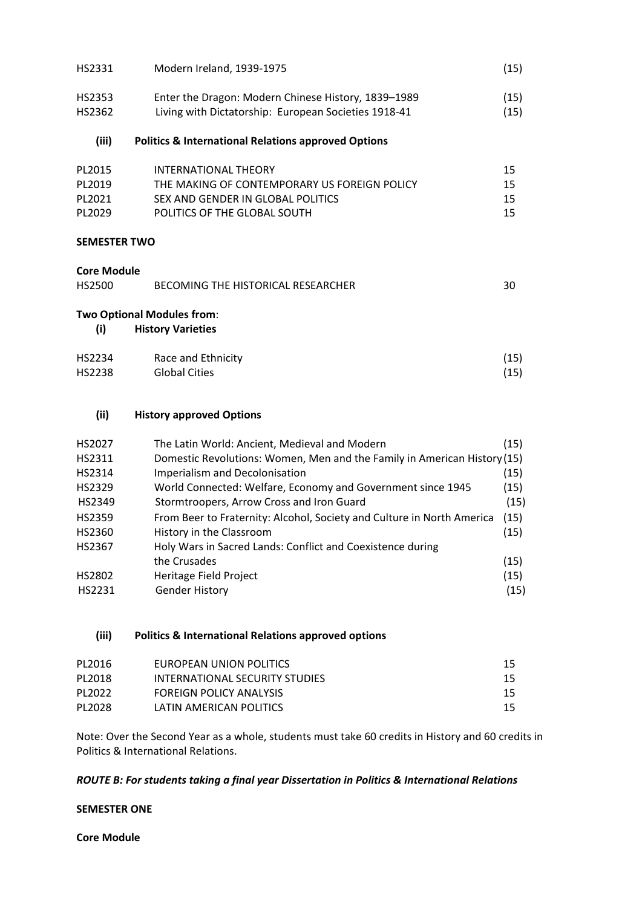| (iii)  | <b>Politics &amp; International Relations approved Options</b> |      |
|--------|----------------------------------------------------------------|------|
| HS2362 | Living with Dictatorship: European Societies 1918-41           | (15) |
| HS2353 | Enter the Dragon: Modern Chinese History, 1839–1989            | (15) |
| HS2331 | Modern Ireland, 1939-1975                                      | (15) |

| PL2015 | INTERNATIONAL THEORY                         | 15 |
|--------|----------------------------------------------|----|
| PL2019 | THE MAKING OF CONTEMPORARY US FOREIGN POLICY | 15 |
| PL2021 | SEX AND GENDER IN GLOBAL POLITICS            | 15 |
| PL2029 | POLITICS OF THE GLOBAL SOUTH                 | 15 |

#### **SEMESTER TWO**

#### **Core Module**

| <b>HS2500</b> | BECOMING THE HISTORICAL RESEARCHER |
|---------------|------------------------------------|
|---------------|------------------------------------|

#### **Two Optional Modules from**:

## **(i) History Varieties**

| HS2234 | Race and Ethnicity   | (15) |
|--------|----------------------|------|
| HS2238 | <b>Global Cities</b> | (15) |

#### **(ii) History approved Options**

| HS2027 | The Latin World: Ancient, Medieval and Modern                            | (15) |
|--------|--------------------------------------------------------------------------|------|
| HS2311 | Domestic Revolutions: Women, Men and the Family in American History (15) |      |
| HS2314 | Imperialism and Decolonisation                                           | (15) |
| HS2329 | World Connected: Welfare, Economy and Government since 1945              | (15) |
| HS2349 | Stormtroopers, Arrow Cross and Iron Guard                                | (15) |
| HS2359 | From Beer to Fraternity: Alcohol, Society and Culture in North America   | (15) |
| HS2360 | History in the Classroom                                                 | (15) |
| HS2367 | Holy Wars in Sacred Lands: Conflict and Coexistence during               |      |
|        | the Crusades                                                             | (15) |
| HS2802 | <b>Heritage Field Project</b>                                            | (15) |
| HS2231 | <b>Gender History</b>                                                    | (15) |
|        |                                                                          |      |

#### **(iii) Politics & International Relations approved options**

| PL2016  | EUROPEAN UNION POLITICS        | 15  |
|---------|--------------------------------|-----|
| PL2018  | INTERNATIONAL SECURITY STUDIES | 15  |
| PI 2022 | <b>FOREIGN POLICY ANALYSIS</b> | 15. |
| PL2028  | LATIN AMERICAN POLITICS        | 15  |

Note: Over the Second Year as a whole, students must take 60 credits in History and 60 credits in Politics & International Relations.

#### *ROUTE B: For students taking a final year Dissertation in Politics & International Relations*

#### **SEMESTER ONE**

**Core Module**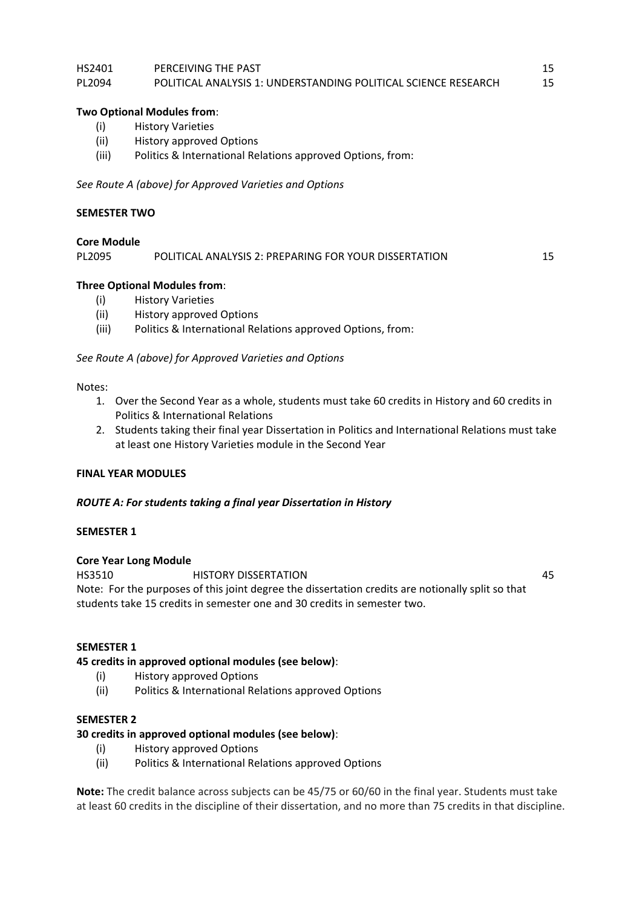#### HS2401 PERCEIVING THE PAST 15 PL2094 POLITICAL ANALYSIS 1: UNDERSTANDING POLITICAL SCIENCE RESEARCH 15

#### **Two Optional Modules from**:

- (i) History Varieties
- (ii) History approved Options
- (iii) Politics & International Relations approved Options, from:

*See Route A (above) for Approved Varieties and Options*

#### **SEMESTER TWO**

#### **Core Module**

PL2095 POLITICAL ANALYSIS 2: PREPARING FOR YOUR DISSERTATION 15

## **Three Optional Modules from**:

- (i) History Varieties
- (ii) History approved Options
- (iii) Politics & International Relations approved Options, from:

*See Route A (above) for Approved Varieties and Options*

#### Notes:

- 1. Over the Second Year as a whole, students must take 60 credits in History and 60 credits in Politics & International Relations
- 2. Students taking their final year Dissertation in Politics and International Relations must take at least one History Varieties module in the Second Year

#### **FINAL YEAR MODULES**

#### *ROUTE A: For students taking a final year Dissertation in History*

#### **SEMESTER 1**

#### **Core Year Long Module**

HS3510 HISTORY DISSERTATION 45 Note: For the purposes of this joint degree the dissertation credits are notionally split so that students take 15 credits in semester one and 30 credits in semester two.

#### **SEMESTER 1**

#### **45 credits in approved optional modules (see below)**:

- (i) History approved Options
- (ii) Politics & International Relations approved Options

#### **SEMESTER 2**

#### **30 credits in approved optional modules (see below)**:

- (i) History approved Options
- (ii) Politics & International Relations approved Options

**Note:** The credit balance across subjects can be 45/75 or 60/60 in the final year. Students must take at least 60 credits in the discipline of their dissertation, and no more than 75 credits in that discipline.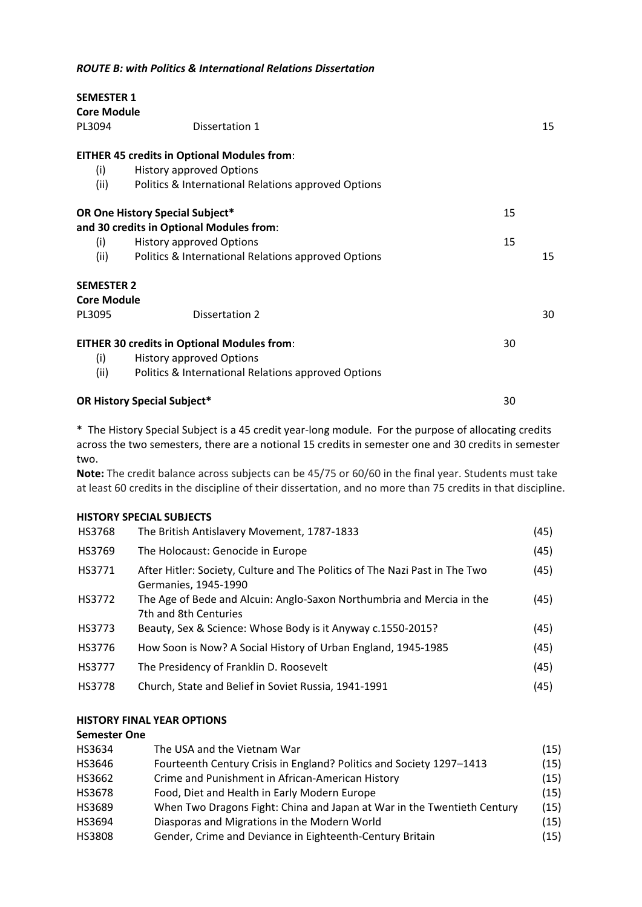| <b>SEMESTER 1</b><br><b>Core Module</b> |                                                     |    |
|-----------------------------------------|-----------------------------------------------------|----|
| PL3094                                  | Dissertation 1                                      | 15 |
|                                         | <b>EITHER 45 credits in Optional Modules from:</b>  |    |
| (i)                                     | <b>History approved Options</b>                     |    |
| (ii)                                    | Politics & International Relations approved Options |    |
|                                         | OR One History Special Subject*                     | 15 |
|                                         | and 30 credits in Optional Modules from:            |    |
| (i)                                     | <b>History approved Options</b>                     | 15 |
| (ii)                                    | Politics & International Relations approved Options | 15 |
| <b>SEMESTER 2</b>                       |                                                     |    |
| <b>Core Module</b>                      |                                                     |    |
| PL3095                                  | Dissertation 2                                      | 30 |
|                                         | <b>EITHER 30 credits in Optional Modules from:</b>  | 30 |
| (i)                                     | <b>History approved Options</b>                     |    |
| (ii)                                    | Politics & International Relations approved Options |    |
|                                         | <b>OR History Special Subject*</b><br>30            |    |

\* The History Special Subject is a 45 credit year-long module. For the purpose of allocating credits across the two semesters, there are a notional 15 credits in semester one and 30 credits in semester two.

**Note:** The credit balance across subjects can be 45/75 or 60/60 in the final year. Students must take at least 60 credits in the discipline of their dissertation, and no more than 75 credits in that discipline.

#### **HISTORY SPECIAL SUBJECTS**

| <b>HS3768</b> | The British Antislavery Movement, 1787-1833                                                         | (45) |
|---------------|-----------------------------------------------------------------------------------------------------|------|
| HS3769        | The Holocaust: Genocide in Europe                                                                   | (45) |
| HS3771        | After Hitler: Society, Culture and The Politics of The Nazi Past in The Two<br>Germanies, 1945-1990 | (45) |
| HS3772        | The Age of Bede and Alcuin: Anglo-Saxon Northumbria and Mercia in the<br>7th and 8th Centuries      | (45) |
| <b>HS3773</b> | Beauty, Sex & Science: Whose Body is it Anyway c.1550-2015?                                         | (45) |
| HS3776        | How Soon is Now? A Social History of Urban England, 1945-1985                                       | (45) |
| <b>HS3777</b> | The Presidency of Franklin D. Roosevelt                                                             | (45) |
| HS3778        | Church, State and Belief in Soviet Russia, 1941-1991                                                | (45) |

#### **HISTORY FINAL YEAR OPTIONS**

#### **Semester One**

| HS3634        | The USA and the Vietnam War                                             | (15) |
|---------------|-------------------------------------------------------------------------|------|
| HS3646        | Fourteenth Century Crisis in England? Politics and Society 1297-1413    | (15) |
| HS3662        | Crime and Punishment in African-American History                        | (15) |
| <b>HS3678</b> | Food, Diet and Health in Early Modern Europe                            | (15) |
| HS3689        | When Two Dragons Fight: China and Japan at War in the Twentieth Century | (15) |
| HS3694        | Diasporas and Migrations in the Modern World                            | (15) |
| <b>HS3808</b> | Gender, Crime and Deviance in Eighteenth-Century Britain                | (15) |